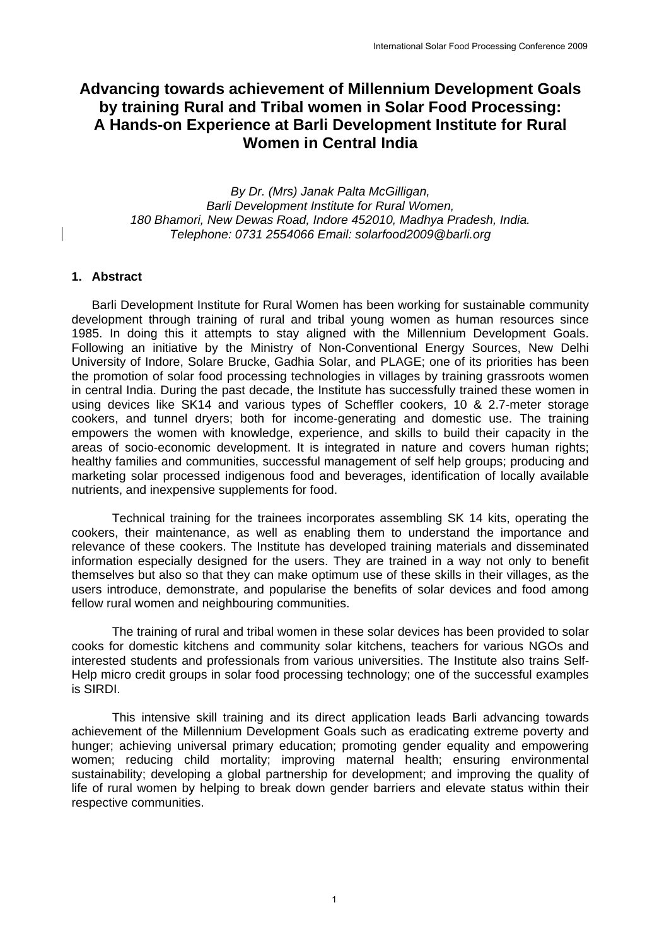# **Advancing towards achievement of Millennium Development Goals by training Rural and Tribal women in Solar Food Processing: A Hands-on Experience at Barli Development Institute for Rural Women in Central India**

*By Dr. (Mrs) Janak Palta McGilligan, Barli Development Institute for Rural Women, 180 Bhamori, New Dewas Road, Indore 452010, Madhya Pradesh, India. Telephone: 0731 2554066 Email: solarfood2009@barli.org*

## **1. Abstract**

Barli Development Institute for Rural Women has been working for sustainable community development through training of rural and tribal young women as human resources since 1985. In doing this it attempts to stay aligned with the Millennium Development Goals. Following an initiative by the Ministry of Non-Conventional Energy Sources, New Delhi University of Indore, Solare Brucke, Gadhia Solar, and PLAGE; one of its priorities has been the promotion of solar food processing technologies in villages by training grassroots women in central India. During the past decade, the Institute has successfully trained these women in using devices like SK14 and various types of Scheffler cookers, 10 & 2.7-meter storage cookers, and tunnel dryers; both for income-generating and domestic use. The training empowers the women with knowledge, experience, and skills to build their capacity in the areas of socio-economic development. It is integrated in nature and covers human rights; healthy families and communities, successful management of self help groups; producing and marketing solar processed indigenous food and beverages, identification of locally available nutrients, and inexpensive supplements for food.

Technical training for the trainees incorporates assembling SK 14 kits, operating the cookers, their maintenance, as well as enabling them to understand the importance and relevance of these cookers. The Institute has developed training materials and disseminated information especially designed for the users. They are trained in a way not only to benefit themselves but also so that they can make optimum use of these skills in their villages, as the users introduce, demonstrate, and popularise the benefits of solar devices and food among fellow rural women and neighbouring communities.

The training of rural and tribal women in these solar devices has been provided to solar cooks for domestic kitchens and community solar kitchens, teachers for various NGOs and interested students and professionals from various universities. The Institute also trains Self-Help micro credit groups in solar food processing technology; one of the successful examples is SIRDI.

This intensive skill training and its direct application leads Barli advancing towards achievement of the Millennium Development Goals such as eradicating extreme poverty and hunger; achieving universal primary education; promoting gender equality and empowering women; reducing child mortality; improving maternal health; ensuring environmental sustainability; developing a global partnership for development; and improving the quality of life of rural women by helping to break down gender barriers and elevate status within their respective communities.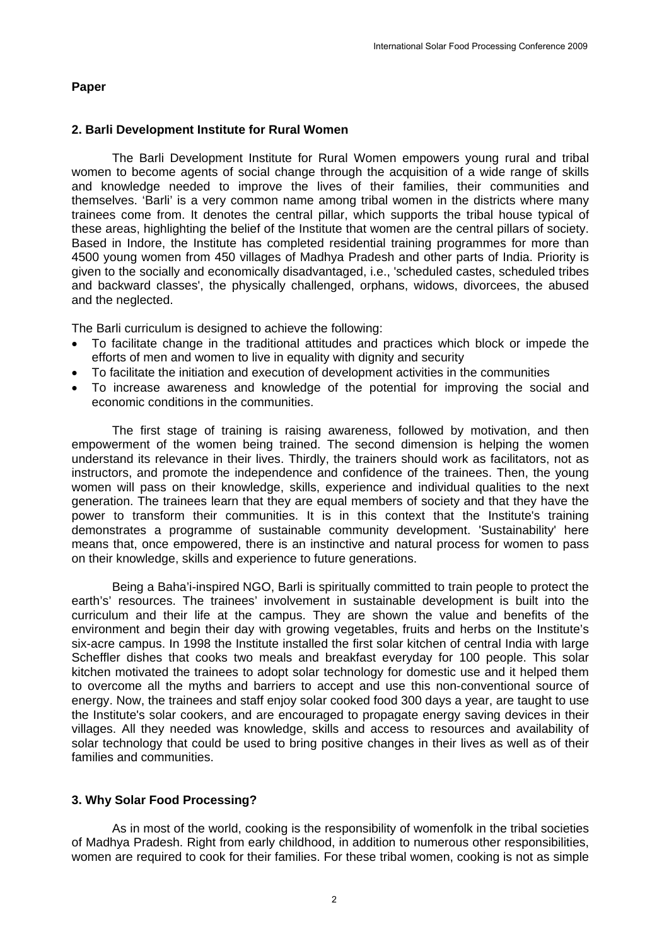### **Paper**

### **2. Barli Development Institute for Rural Women**

The Barli Development Institute for Rural Women empowers young rural and tribal women to become agents of social change through the acquisition of a wide range of skills and knowledge needed to improve the lives of their families, their communities and themselves. 'Barli' is a very common name among tribal women in the districts where many trainees come from. It denotes the central pillar, which supports the tribal house typical of these areas, highlighting the belief of the Institute that women are the central pillars of society. Based in Indore, the Institute has completed residential training programmes for more than 4500 young women from 450 villages of Madhya Pradesh and other parts of India. Priority is given to the socially and economically disadvantaged, i.e., 'scheduled castes, scheduled tribes and backward classes', the physically challenged, orphans, widows, divorcees, the abused and the neglected.

The Barli curriculum is designed to achieve the following:

- To facilitate change in the traditional attitudes and practices which block or impede the efforts of men and women to live in equality with dignity and security
- To facilitate the initiation and execution of development activities in the communities
- To increase awareness and knowledge of the potential for improving the social and economic conditions in the communities.

The first stage of training is raising awareness, followed by motivation, and then empowerment of the women being trained. The second dimension is helping the women understand its relevance in their lives. Thirdly, the trainers should work as facilitators, not as instructors, and promote the independence and confidence of the trainees. Then, the young women will pass on their knowledge, skills, experience and individual qualities to the next generation. The trainees learn that they are equal members of society and that they have the power to transform their communities. It is in this context that the Institute's training demonstrates a programme of sustainable community development. 'Sustainability' here means that, once empowered, there is an instinctive and natural process for women to pass on their knowledge, skills and experience to future generations.

Being a Baha'i-inspired NGO, Barli is spiritually committed to train people to protect the earth's' resources. The trainees' involvement in sustainable development is built into the curriculum and their life at the campus. They are shown the value and benefits of the environment and begin their day with growing vegetables, fruits and herbs on the Institute's six-acre campus. In 1998 the Institute installed the first solar kitchen of central India with large Scheffler dishes that cooks two meals and breakfast everyday for 100 people. This solar kitchen motivated the trainees to adopt solar technology for domestic use and it helped them to overcome all the myths and barriers to accept and use this non-conventional source of energy. Now, the trainees and staff enjoy solar cooked food 300 days a year, are taught to use the Institute's solar cookers, and are encouraged to propagate energy saving devices in their villages. All they needed was knowledge, skills and access to resources and availability of solar technology that could be used to bring positive changes in their lives as well as of their families and communities.

## **3. Why Solar Food Processing?**

As in most of the world, cooking is the responsibility of womenfolk in the tribal societies of Madhya Pradesh. Right from early childhood, in addition to numerous other responsibilities, women are required to cook for their families. For these tribal women, cooking is not as simple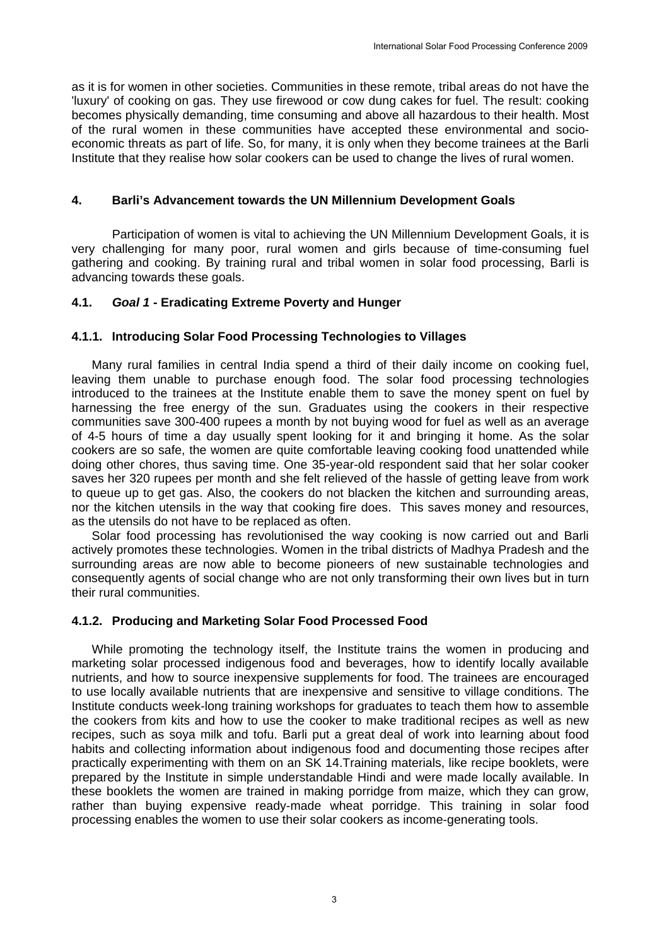as it is for women in other societies. Communities in these remote, tribal areas do not have the 'luxury' of cooking on gas. They use firewood or cow dung cakes for fuel. The result: cooking becomes physically demanding, time consuming and above all hazardous to their health. Most of the rural women in these communities have accepted these environmental and socioeconomic threats as part of life. So, for many, it is only when they become trainees at the Barli Institute that they realise how solar cookers can be used to change the lives of rural women.

### **4. Barli's Advancement towards the UN Millennium Development Goals**

Participation of women is vital to achieving the UN Millennium Development Goals, it is very challenging for many poor, rural women and girls because of time-consuming fuel gathering and cooking. By training rural and tribal women in solar food processing, Barli is advancing towards these goals.

## **4.1.** *Goal 1* **- Eradicating Extreme Poverty and Hunger**

### **4.1.1. Introducing Solar Food Processing Technologies to Villages**

Many rural families in central India spend a third of their daily income on cooking fuel, leaving them unable to purchase enough food. The solar food processing technologies introduced to the trainees at the Institute enable them to save the money spent on fuel by harnessing the free energy of the sun. Graduates using the cookers in their respective communities save 300-400 rupees a month by not buying wood for fuel as well as an average of 4-5 hours of time a day usually spent looking for it and bringing it home. As the solar cookers are so safe, the women are quite comfortable leaving cooking food unattended while doing other chores, thus saving time. One 35-year-old respondent said that her solar cooker saves her 320 rupees per month and she felt relieved of the hassle of getting leave from work to queue up to get gas. Also, the cookers do not blacken the kitchen and surrounding areas, nor the kitchen utensils in the way that cooking fire does. This saves money and resources, as the utensils do not have to be replaced as often.

Solar food processing has revolutionised the way cooking is now carried out and Barli actively promotes these technologies. Women in the tribal districts of Madhya Pradesh and the surrounding areas are now able to become pioneers of new sustainable technologies and consequently agents of social change who are not only transforming their own lives but in turn their rural communities.

#### **4.1.2. Producing and Marketing Solar Food Processed Food**

While promoting the technology itself, the Institute trains the women in producing and marketing solar processed indigenous food and beverages, how to identify locally available nutrients, and how to source inexpensive supplements for food. The trainees are encouraged to use locally available nutrients that are inexpensive and sensitive to village conditions. The Institute conducts week-long training workshops for graduates to teach them how to assemble the cookers from kits and how to use the cooker to make traditional recipes as well as new recipes, such as soya milk and tofu. Barli put a great deal of work into learning about food habits and collecting information about indigenous food and documenting those recipes after practically experimenting with them on an SK 14.Training materials, like recipe booklets, were prepared by the Institute in simple understandable Hindi and were made locally available. In these booklets the women are trained in making porridge from maize, which they can grow, rather than buying expensive ready-made wheat porridge. This training in solar food processing enables the women to use their solar cookers as income-generating tools.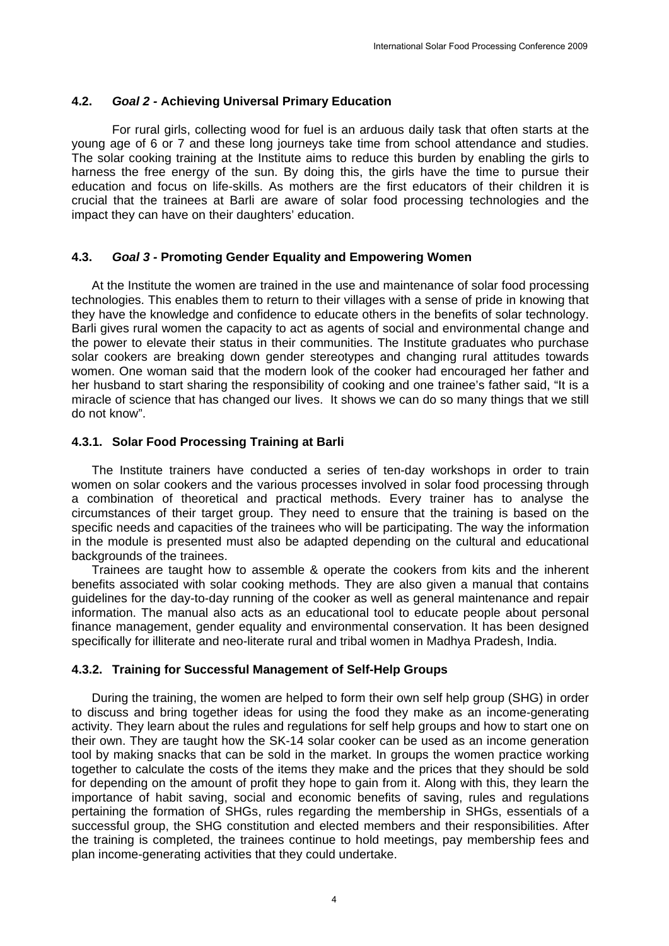### **4.2.** *Goal 2 -* **Achieving Universal Primary Education**

For rural girls, collecting wood for fuel is an arduous daily task that often starts at the young age of 6 or 7 and these long journeys take time from school attendance and studies. The solar cooking training at the Institute aims to reduce this burden by enabling the girls to harness the free energy of the sun. By doing this, the girls have the time to pursue their education and focus on life-skills. As mothers are the first educators of their children it is crucial that the trainees at Barli are aware of solar food processing technologies and the impact they can have on their daughters' education.

## **4.3.** *Goal 3 -* **Promoting Gender Equality and Empowering Women**

At the Institute the women are trained in the use and maintenance of solar food processing technologies. This enables them to return to their villages with a sense of pride in knowing that they have the knowledge and confidence to educate others in the benefits of solar technology. Barli gives rural women the capacity to act as agents of social and environmental change and the power to elevate their status in their communities. The Institute graduates who purchase solar cookers are breaking down gender stereotypes and changing rural attitudes towards women. One woman said that the modern look of the cooker had encouraged her father and her husband to start sharing the responsibility of cooking and one trainee's father said, "It is a miracle of science that has changed our lives. It shows we can do so many things that we still do not know".

### **4.3.1. Solar Food Processing Training at Barli**

The Institute trainers have conducted a series of ten-day workshops in order to train women on solar cookers and the various processes involved in solar food processing through a combination of theoretical and practical methods. Every trainer has to analyse the circumstances of their target group. They need to ensure that the training is based on the specific needs and capacities of the trainees who will be participating. The way the information in the module is presented must also be adapted depending on the cultural and educational backgrounds of the trainees.

Trainees are taught how to assemble & operate the cookers from kits and the inherent benefits associated with solar cooking methods. They are also given a manual that contains guidelines for the day-to-day running of the cooker as well as general maintenance and repair information. The manual also acts as an educational tool to educate people about personal finance management, gender equality and environmental conservation. It has been designed specifically for illiterate and neo-literate rural and tribal women in Madhya Pradesh, India.

#### **4.3.2. Training for Successful Management of Self-Help Groups**

During the training, the women are helped to form their own self help group (SHG) in order to discuss and bring together ideas for using the food they make as an income-generating activity. They learn about the rules and regulations for self help groups and how to start one on their own. They are taught how the SK-14 solar cooker can be used as an income generation tool by making snacks that can be sold in the market. In groups the women practice working together to calculate the costs of the items they make and the prices that they should be sold for depending on the amount of profit they hope to gain from it. Along with this, they learn the importance of habit saving, social and economic benefits of saving, rules and regulations pertaining the formation of SHGs, rules regarding the membership in SHGs, essentials of a successful group, the SHG constitution and elected members and their responsibilities. After the training is completed, the trainees continue to hold meetings, pay membership fees and plan income-generating activities that they could undertake.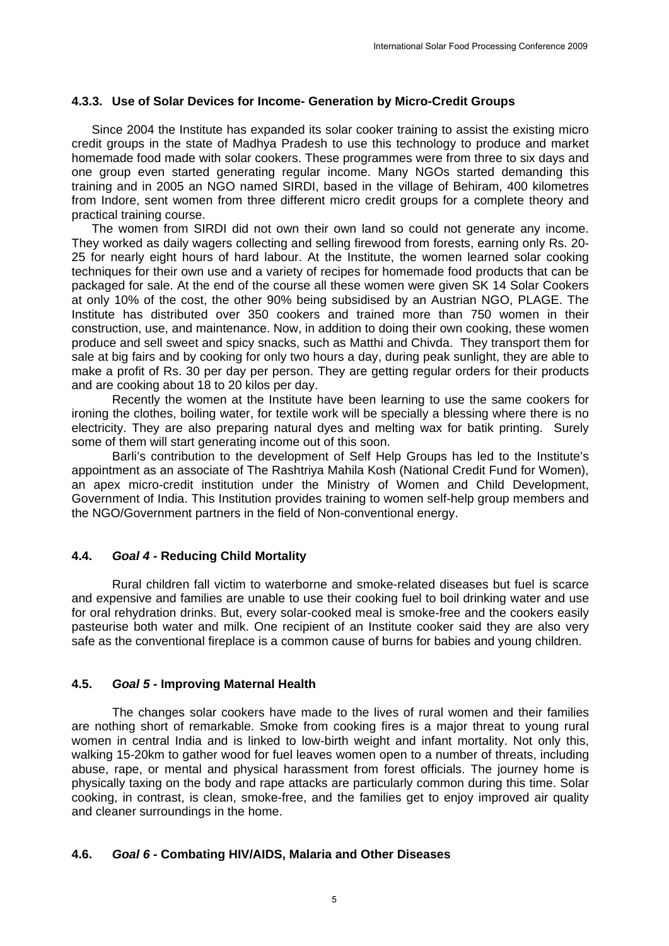## **4.3.3. Use of Solar Devices for Income- Generation by Micro-Credit Groups**

Since 2004 the Institute has expanded its solar cooker training to assist the existing micro credit groups in the state of Madhya Pradesh to use this technology to produce and market homemade food made with solar cookers. These programmes were from three to six days and one group even started generating regular income. Many NGOs started demanding this training and in 2005 an NGO named SIRDI, based in the village of Behiram, 400 kilometres from Indore, sent women from three different micro credit groups for a complete theory and practical training course.

The women from SIRDI did not own their own land so could not generate any income. They worked as daily wagers collecting and selling firewood from forests, earning only Rs. 20- 25 for nearly eight hours of hard labour. At the Institute, the women learned solar cooking techniques for their own use and a variety of recipes for homemade food products that can be packaged for sale. At the end of the course all these women were given SK 14 Solar Cookers at only 10% of the cost, the other 90% being subsidised by an Austrian NGO, PLAGE. The Institute has distributed over 350 cookers and trained more than 750 women in their construction, use, and maintenance. Now, in addition to doing their own cooking, these women produce and sell sweet and spicy snacks, such as Matthi and Chivda. They transport them for sale at big fairs and by cooking for only two hours a day, during peak sunlight, they are able to make a profit of Rs. 30 per day per person. They are getting regular orders for their products and are cooking about 18 to 20 kilos per day.

Recently the women at the Institute have been learning to use the same cookers for ironing the clothes, boiling water, for textile work will be specially a blessing where there is no electricity. They are also preparing natural dyes and melting wax for batik printing. Surely some of them will start generating income out of this soon.

Barli's contribution to the development of Self Help Groups has led to the Institute's appointment as an associate of The Rashtriya Mahila Kosh (National Credit Fund for Women), an apex micro-credit institution under the Ministry of Women and Child Development, Government of India. This Institution provides training to women self-help group members and the NGO/Government partners in the field of Non-conventional energy.

## **4.4.** *Goal 4 -* **Reducing Child Mortality**

Rural children fall victim to waterborne and smoke-related diseases but fuel is scarce and expensive and families are unable to use their cooking fuel to boil drinking water and use for oral rehydration drinks. But, every solar-cooked meal is smoke-free and the cookers easily pasteurise both water and milk. One recipient of an Institute cooker said they are also very safe as the conventional fireplace is a common cause of burns for babies and young children.

#### **4.5.** *Goal 5 -* **Improving Maternal Health**

The changes solar cookers have made to the lives of rural women and their families are nothing short of remarkable. Smoke from cooking fires is a major threat to young rural women in central India and is linked to low-birth weight and infant mortality. Not only this, walking 15-20km to gather wood for fuel leaves women open to a number of threats, including abuse, rape, or mental and physical harassment from forest officials. The journey home is physically taxing on the body and rape attacks are particularly common during this time. Solar cooking, in contrast, is clean, smoke-free, and the families get to enjoy improved air quality and cleaner surroundings in the home.

#### **4.6.** *Goal 6 -* **Combating HIV/AIDS, Malaria and Other Diseases**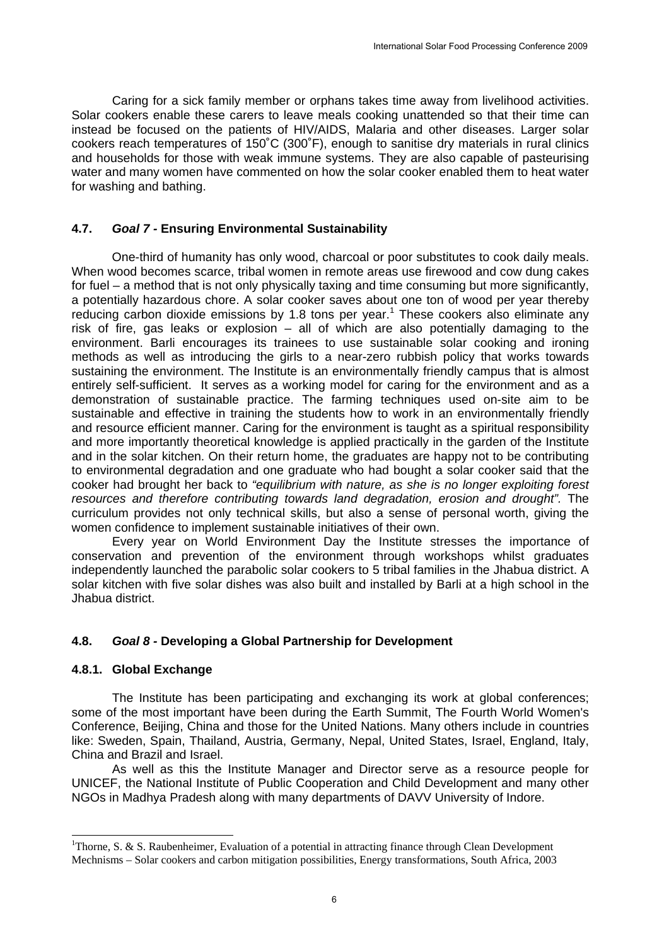Caring for a sick family member or orphans takes time away from livelihood activities. Solar cookers enable these carers to leave meals cooking unattended so that their time can instead be focused on the patients of HIV/AIDS, Malaria and other diseases. Larger solar cookers reach temperatures of 150˚C (300˚F), enough to sanitise dry materials in rural clinics and households for those with weak immune systems. They are also capable of pasteurising water and many women have commented on how the solar cooker enabled them to heat water for washing and bathing.

## **4.7.** *Goal 7 -* **Ensuring Environmental Sustainability**

One-third of humanity has only wood, charcoal or poor substitutes to cook daily meals. When wood becomes scarce, tribal women in remote areas use firewood and cow dung cakes for fuel – a method that is not only physically taxing and time consuming but more significantly, a potentially hazardous chore. A solar cooker saves about one ton of wood per year thereby reducing carbon dioxide emissions by 1.8 tons per year.<sup>1</sup> These cookers also eliminate any risk of fire, gas leaks or explosion – all of which are also potentially damaging to the environment. Barli encourages its trainees to use sustainable solar cooking and ironing methods as well as introducing the girls to a near-zero rubbish policy that works towards sustaining the environment. The Institute is an environmentally friendly campus that is almost entirely self-sufficient. It serves as a working model for caring for the environment and as a demonstration of sustainable practice. The farming techniques used on-site aim to be sustainable and effective in training the students how to work in an environmentally friendly and resource efficient manner. Caring for the environment is taught as a spiritual responsibility and more importantly theoretical knowledge is applied practically in the garden of the Institute and in the solar kitchen. On their return home, the graduates are happy not to be contributing to environmental degradation and one graduate who had bought a solar cooker said that the cooker had brought her back to *"equilibrium with nature, as she is no longer exploiting forest resources and therefore contributing towards land degradation, erosion and drought".* The curriculum provides not only technical skills, but also a sense of personal worth, giving the women confidence to implement sustainable initiatives of their own.

Every year on World Environment Day the Institute stresses the importance of conservation and prevention of the environment through workshops whilst graduates independently launched the parabolic solar cookers to 5 tribal families in the Jhabua district. A solar kitchen with five solar dishes was also built and installed by Barli at a high school in the Jhabua district.

## **4.8.** *Goal 8 -* **Developing a Global Partnership for Development**

## **4.8.1. Global Exchange**

-

The Institute has been participating and exchanging its work at global conferences; some of the most important have been during the Earth Summit, The Fourth World Women's Conference, Beijing, China and those for the United Nations. Many others include in countries like: Sweden, Spain, Thailand, Austria, Germany, Nepal, United States, Israel, England, Italy, China and Brazil and Israel.

As well as this the Institute Manager and Director serve as a resource people for UNICEF, the National Institute of Public Cooperation and Child Development and many other NGOs in Madhya Pradesh along with many departments of DAVV University of Indore.

<sup>&</sup>lt;sup>1</sup>Thorne, S. & S. Raubenheimer, Evaluation of a potential in attracting finance through Clean Development Mechnisms – Solar cookers and carbon mitigation possibilities, Energy transformations, South Africa, 2003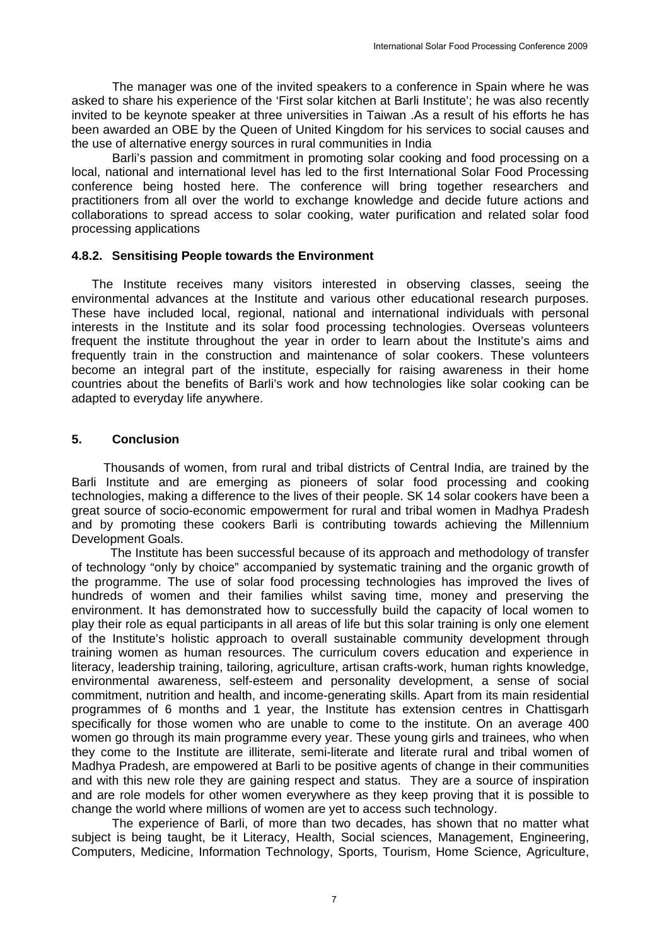The manager was one of the invited speakers to a conference in Spain where he was asked to share his experience of the 'First solar kitchen at Barli Institute'; he was also recently invited to be keynote speaker at three universities in Taiwan .As a result of his efforts he has been awarded an OBE by the Queen of United Kingdom for his services to social causes and the use of alternative energy sources in rural communities in India

Barli's passion and commitment in promoting solar cooking and food processing on a local, national and international level has led to the first International Solar Food Processing conference being hosted here. The conference will bring together researchers and practitioners from all over the world to exchange knowledge and decide future actions and collaborations to spread access to solar cooking, water purification and related solar food processing applications

#### **4.8.2. Sensitising People towards the Environment**

The Institute receives many visitors interested in observing classes, seeing the environmental advances at the Institute and various other educational research purposes. These have included local, regional, national and international individuals with personal interests in the Institute and its solar food processing technologies. Overseas volunteers frequent the institute throughout the year in order to learn about the Institute's aims and frequently train in the construction and maintenance of solar cookers. These volunteers become an integral part of the institute, especially for raising awareness in their home countries about the benefits of Barli's work and how technologies like solar cooking can be adapted to everyday life anywhere.

## **5. Conclusion**

Thousands of women, from rural and tribal districts of Central India, are trained by the Barli Institute and are emerging as pioneers of solar food processing and cooking technologies, making a difference to the lives of their people. SK 14 solar cookers have been a great source of socio-economic empowerment for rural and tribal women in Madhya Pradesh and by promoting these cookers Barli is contributing towards achieving the Millennium Development Goals.

 The Institute has been successful because of its approach and methodology of transfer of technology "only by choice" accompanied by systematic training and the organic growth of the programme. The use of solar food processing technologies has improved the lives of hundreds of women and their families whilst saving time, money and preserving the environment. It has demonstrated how to successfully build the capacity of local women to play their role as equal participants in all areas of life but this solar training is only one element of the Institute's holistic approach to overall sustainable community development through training women as human resources. The curriculum covers education and experience in literacy, leadership training, tailoring, agriculture, artisan crafts-work, human rights knowledge, environmental awareness, self-esteem and personality development, a sense of social commitment, nutrition and health, and income-generating skills. Apart from its main residential programmes of 6 months and 1 year, the Institute has extension centres in Chattisgarh specifically for those women who are unable to come to the institute. On an average 400 women go through its main programme every year. These young girls and trainees, who when they come to the Institute are illiterate, semi-literate and literate rural and tribal women of Madhya Pradesh, are empowered at Barli to be positive agents of change in their communities and with this new role they are gaining respect and status. They are a source of inspiration and are role models for other women everywhere as they keep proving that it is possible to change the world where millions of women are yet to access such technology.

The experience of Barli, of more than two decades, has shown that no matter what subject is being taught, be it Literacy, Health, Social sciences, Management, Engineering, Computers, Medicine, Information Technology, Sports, Tourism, Home Science, Agriculture,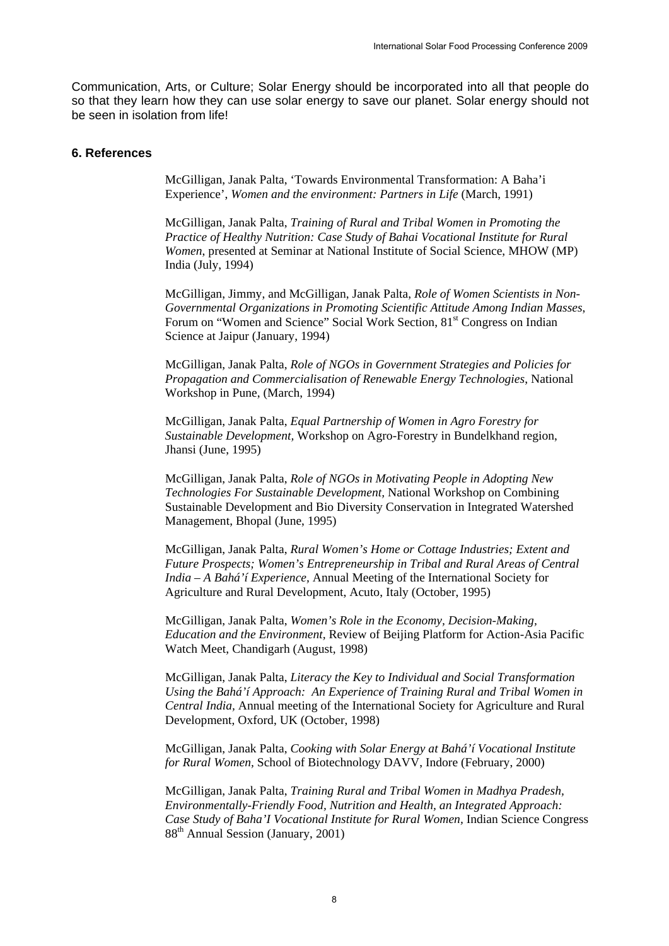Communication, Arts, or Culture; Solar Energy should be incorporated into all that people do so that they learn how they can use solar energy to save our planet. Solar energy should not be seen in isolation from life!

#### **6. References**

McGilligan, Janak Palta, 'Towards Environmental Transformation: A Baha'i Experience', *Women and the environment: Partners in Life* (March, 1991)

 McGilligan, Janak Palta, *Training of Rural and Tribal Women in Promoting the Practice of Healthy Nutrition: Case Study of Bahai Vocational Institute for Rural Women*, presented at Seminar at National Institute of Social Science, MHOW (MP) India (July, 1994)

 McGilligan, Jimmy, and McGilligan, Janak Palta, *Role of Women Scientists in Non-Governmental Organizations in Promoting Scientific Attitude Among Indian Masses*, Forum on "Women and Science" Social Work Section, 81<sup>st</sup> Congress on Indian Science at Jaipur (January, 1994)

 McGilligan, Janak Palta, *Role of NGOs in Government Strategies and Policies for Propagation and Commercialisation of Renewable Energy Technologies*, National Workshop in Pune, (March, 1994)

 McGilligan, Janak Palta, *Equal Partnership of Women in Agro Forestry for Sustainable Development,* Workshop on Agro-Forestry in Bundelkhand region, Jhansi (June, 1995)

 McGilligan, Janak Palta, *Role of NGOs in Motivating People in Adopting New Technologies For Sustainable Development,* National Workshop on Combining Sustainable Development and Bio Diversity Conservation in Integrated Watershed Management, Bhopal (June, 1995)

 McGilligan, Janak Palta, *Rural Women's Home or Cottage Industries; Extent and Future Prospects; Women's Entrepreneurship in Tribal and Rural Areas of Central India – A Bahá'í Experience,* Annual Meeting of the International Society for Agriculture and Rural Development, Acuto, Italy (October, 1995)

 McGilligan, Janak Palta, *Women's Role in the Economy, Decision-Making, Education and the Environment,* Review of Beijing Platform for Action-Asia Pacific Watch Meet, Chandigarh (August, 1998)

 McGilligan, Janak Palta, *Literacy the Key to Individual and Social Transformation Using the Bahá'í Approach: An Experience of Training Rural and Tribal Women in Central India,* Annual meeting of the International Society for Agriculture and Rural Development, Oxford, UK (October, 1998)

 McGilligan, Janak Palta, *Cooking with Solar Energy at Bahá'í Vocational Institute for Rural Women,* School of Biotechnology DAVV, Indore (February, 2000)

 McGilligan, Janak Palta, *Training Rural and Tribal Women in Madhya Pradesh, Environmentally-Friendly Food, Nutrition and Health, an Integrated Approach: Case Study of Baha'I Vocational Institute for Rural Women,* Indian Science Congress 88th Annual Session (January, 2001)